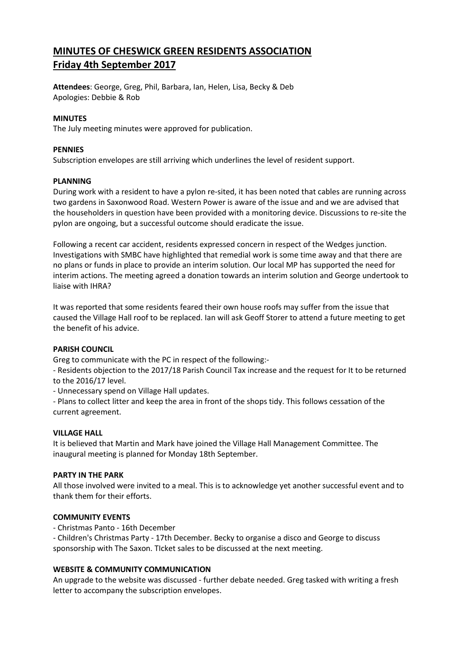# MINUTES OF CHESWICK GREEN RESIDENTS ASSOCIATION Friday 4th September 2017

Attendees: George, Greg, Phil, Barbara, Ian, Helen, Lisa, Becky & Deb Apologies: Debbie & Rob

## MINUTES

The July meeting minutes were approved for publication.

## PENNIES

Subscription envelopes are still arriving which underlines the level of resident support.

#### PLANNING

During work with a resident to have a pylon re-sited, it has been noted that cables are running across two gardens in Saxonwood Road. Western Power is aware of the issue and and we are advised that the householders in question have been provided with a monitoring device. Discussions to re-site the pylon are ongoing, but a successful outcome should eradicate the issue.

Following a recent car accident, residents expressed concern in respect of the Wedges junction. Investigations with SMBC have highlighted that remedial work is some time away and that there are no plans or funds in place to provide an interim solution. Our local MP has supported the need for interim actions. The meeting agreed a donation towards an interim solution and George undertook to liaise with IHRA?

It was reported that some residents feared their own house roofs may suffer from the issue that caused the Village Hall roof to be replaced. Ian will ask Geoff Storer to attend a future meeting to get the benefit of his advice.

#### PARISH COUNCIL

Greg to communicate with the PC in respect of the following:-

- Residents objection to the 2017/18 Parish Council Tax increase and the request for It to be returned to the 2016/17 level.

- Unnecessary spend on Village Hall updates.

- Plans to collect litter and keep the area in front of the shops tidy. This follows cessation of the current agreement.

# VILLAGE HALL

It is believed that Martin and Mark have joined the Village Hall Management Committee. The inaugural meeting is planned for Monday 18th September.

#### PARTY IN THE PARK

All those involved were invited to a meal. This is to acknowledge yet another successful event and to thank them for their efforts.

# COMMUNITY EVENTS

- Christmas Panto - 16th December

- Children's Christmas Party - 17th December. Becky to organise a disco and George to discuss sponsorship with The Saxon. TIcket sales to be discussed at the next meeting.

# WEBSITE & COMMUNITY COMMUNICATION

An upgrade to the website was discussed - further debate needed. Greg tasked with writing a fresh letter to accompany the subscription envelopes.